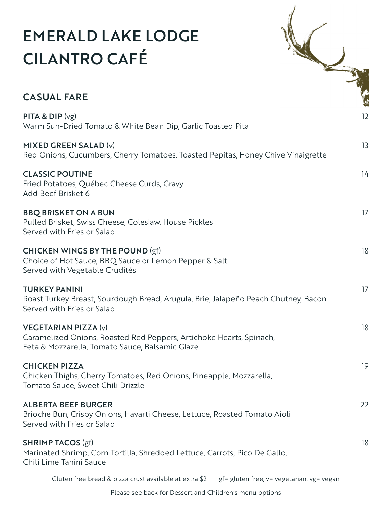## EMERALD LAKE LODGE CILANTRO CAFÉ



## CASUAL FARE

| <b>PITA &amp; DIP</b> $(vg)$<br>Warm Sun-Dried Tomato & White Bean Dip, Garlic Toasted Pita                                                           | $12 \overline{ }$ |
|-------------------------------------------------------------------------------------------------------------------------------------------------------|-------------------|
| MIXED GREEN SALAD (v)<br>Red Onions, Cucumbers, Cherry Tomatoes, Toasted Pepitas, Honey Chive Vinaigrette                                             | 13                |
| <b>CLASSIC POUTINE</b><br>Fried Potatoes, Québec Cheese Curds, Gravy<br>Add Beef Brisket 6                                                            | 14                |
| <b>BBQ BRISKET ON A BUN</b><br>Pulled Brisket, Swiss Cheese, Coleslaw, House Pickles<br>Served with Fries or Salad                                    | 17                |
| <b>CHICKEN WINGS BY THE POUND (gf)</b><br>Choice of Hot Sauce, BBQ Sauce or Lemon Pepper & Salt<br>Served with Vegetable Crudités                     | 18                |
| <b>TURKEY PANINI</b><br>Roast Turkey Breast, Sourdough Bread, Arugula, Brie, Jalapeño Peach Chutney, Bacon<br>Served with Fries or Salad              | 17                |
| <b>VEGETARIAN PIZZA (v)</b><br>Caramelized Onions, Roasted Red Peppers, Artichoke Hearts, Spinach,<br>Feta & Mozzarella, Tomato Sauce, Balsamic Glaze | 18                |
| <b>CHICKEN PIZZA</b><br>Chicken Thighs, Cherry Tomatoes, Red Onions, Pineapple, Mozzarella,<br>Tomato Sauce, Sweet Chili Drizzle                      | 19                |
| <b>ALBERTA BEEF BURGER</b><br>Brioche Bun, Crispy Onions, Havarti Cheese, Lettuce, Roasted Tomato Aioli<br>Served with Fries or Salad                 | 22                |
| <b>SHRIMP TACOS (gf)</b><br>Marinated Shrimp, Corn Tortilla, Shredded Lettuce, Carrots, Pico De Gallo,<br>Chili Lime Tahini Sauce                     | 18                |
|                                                                                                                                                       |                   |

Gluten free bread & pizza crust available at extra \$2 | gf= gluten free, v= vegetarian, vg= vegan